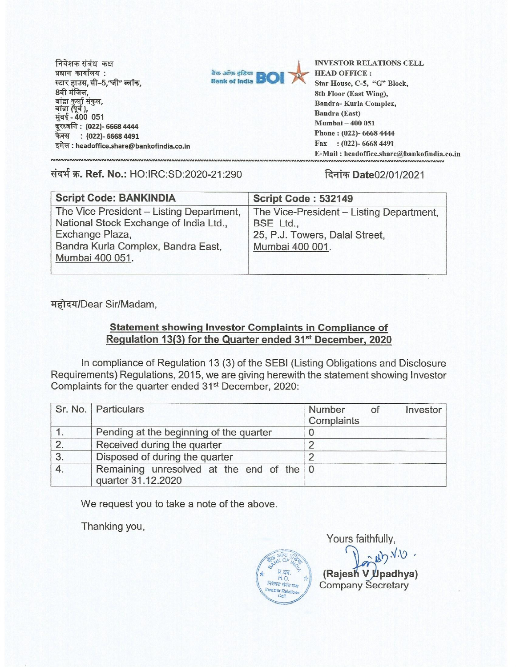निवेशक संबंध कक्ष **प्रधान कार्यालय: स्टार हाउस, सी–5,"जी" ब्लॉक,** 8वी मंजिल, बांद्रा कुर्ला संकुल,<br>बांद्रा (पूर्व ), **मुंबई - 400 051 virqft : (022)- 6668 4444 फेक्स : (022)- 6668 4491 TA-9" : headoffice.share@bankofindia,coin** 



INVESTOR RELATIONS CELL HEAD OFFICE : Star House, C-5, "G" Block, 8th Floor (East Wing), Bandra- Kuria Complex, Bandra (East) Mumbai — 400 051 Phone : (022)- 6668 4444 Fax : (022)- 6668 4491 E-Mail: headoffice.share@bankofindia.co.in

## संदर्भ क्र. **Ref. No.:** HO:IRC:SD:2020-21:290 **दिनांक Date**02/01/2021

| <b>Script Code: BANKINDIA</b>            | Script Code: 532149                      |
|------------------------------------------|------------------------------------------|
| The Vice President - Listing Department, | The Vice-President - Listing Department, |
| National Stock Exchange of India Ltd.,   | BSE Ltd.,                                |
| Exchange Plaza,                          | 25, P.J. Towers, Dalal Street,           |
| Bandra Kurla Complex, Bandra East,       | Mumbai 400 001.                          |
| Mumbai 400 051.                          |                                          |
|                                          |                                          |

महोदय/Dear Sir/Madam,

## **Statement showing Investor Complaints in Compliance of Regulation 13(3) for the Quarter ended 31st December, 2020**

In compliance of Regulation 13 (3) of the SEBI (Listing Obligations and Disclosure Requirements) Regulations, 2015, we are giving herewith the statement showing Investor Complaints for the quarter ended 31st December, 2020:

|    | Sr. No. Particulars                                            | Number of<br>Investor<br>Complaints |
|----|----------------------------------------------------------------|-------------------------------------|
|    | Pending at the beginning of the quarter                        |                                     |
| 2. | Received during the quarter                                    |                                     |
| 3. | Disposed of during the quarter                                 | n                                   |
|    | Remaining unresolved at the end of the 0<br>quarter 31.12.2020 |                                     |

We request you to take a note of the above.

Thanking you,



Yours faithfully,  $a^2b^2\sqrt{10}$ **(Rajesh V Upadhya) (Rajesh V Upadhya) Company** Secretary Company Secretary